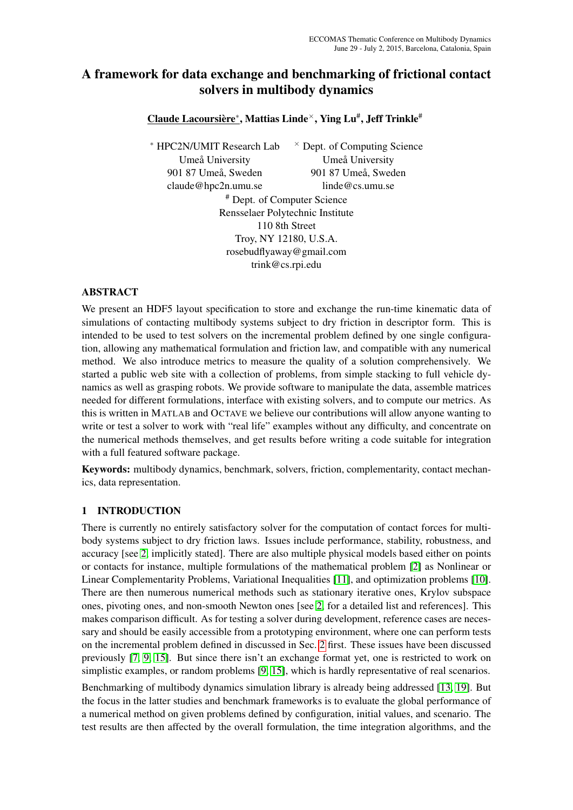# A framework for data exchange and benchmarking of frictional contact solvers in multibody dynamics

<u>Claude Lacoursière\*,</u> Mattias Linde<sup>×</sup>, Ying Lu#, Jeff Trinkle<sup>#</sup>

<sup>∗</sup> HPC2N/UMIT Research Lab Umeå University 901 87 Umeå, Sweden claude@hpc2n.umu.se  $\times$  Dept. of Computing Science Umeå University 901 87 Umeå, Sweden linde@cs.umu.se # Dept. of Computer Science Rensselaer Polytechnic Institute

110 8th Street Troy, NY 12180, U.S.A. rosebudflyaway@gmail.com trink@cs.rpi.edu

## ABSTRACT

We present an HDF5 layout specification to store and exchange the run-time kinematic data of simulations of contacting multibody systems subject to dry friction in descriptor form. This is intended to be used to test solvers on the incremental problem defined by one single configuration, allowing any mathematical formulation and friction law, and compatible with any numerical method. We also introduce metrics to measure the quality of a solution comprehensively. We started a public web site with a collection of problems, from simple stacking to full vehicle dynamics as well as grasping robots. We provide software to manipulate the data, assemble matrices needed for different formulations, interface with existing solvers, and to compute our metrics. As this is written in MATLAB and OCTAVE we believe our contributions will allow anyone wanting to write or test a solver to work with "real life" examples without any difficulty, and concentrate on the numerical methods themselves, and get results before writing a code suitable for integration with a full featured software package.

Keywords: multibody dynamics, benchmark, solvers, friction, complementarity, contact mechanics, data representation.

## 1 INTRODUCTION

There is currently no entirely satisfactory solver for the computation of contact forces for multibody systems subject to dry friction laws. Issues include performance, stability, robustness, and accuracy [see [2,](#page-8-0) implicitly stated]. There are also multiple physical models based either on points or contacts for instance, multiple formulations of the mathematical problem [\[2\]](#page-8-0) as Nonlinear or Linear Complementarity Problems, Variational Inequalities [\[11\]](#page-8-1), and optimization problems [\[10\]](#page-8-2). There are then numerous numerical methods such as stationary iterative ones, Krylov subspace ones, pivoting ones, and non-smooth Newton ones [see [2,](#page-8-0) for a detailed list and references]. This makes comparison difficult. As for testing a solver during development, reference cases are necessary and should be easily accessible from a prototyping environment, where one can perform tests on the incremental problem defined in discussed in Sec. [2](#page-1-0) first. These issues have been discussed previously [\[7,](#page-8-3) [9,](#page-8-4) [15\]](#page-9-0). But since there isn't an exchange format yet, one is restricted to work on simplistic examples, or random problems [\[9,](#page-8-4) [15\]](#page-9-0), which is hardly representative of real scenarios.

Benchmarking of multibody dynamics simulation library is already being addressed [\[13,](#page-9-1) [19\]](#page-9-2). But the focus in the latter studies and benchmark frameworks is to evaluate the global performance of a numerical method on given problems defined by configuration, initial values, and scenario. The test results are then affected by the overall formulation, the time integration algorithms, and the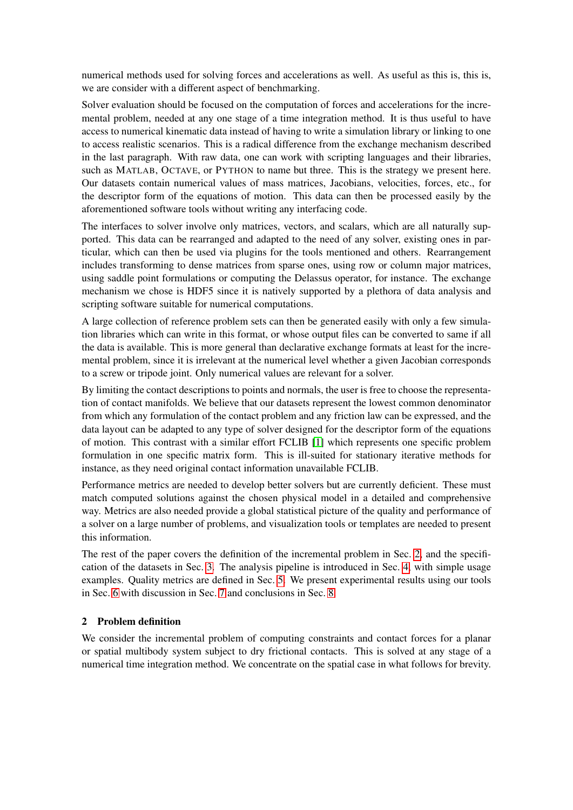numerical methods used for solving forces and accelerations as well. As useful as this is, this is, we are consider with a different aspect of benchmarking.

Solver evaluation should be focused on the computation of forces and accelerations for the incremental problem, needed at any one stage of a time integration method. It is thus useful to have access to numerical kinematic data instead of having to write a simulation library or linking to one to access realistic scenarios. This is a radical difference from the exchange mechanism described in the last paragraph. With raw data, one can work with scripting languages and their libraries, such as MATLAB, OCTAVE, or PYTHON to name but three. This is the strategy we present here. Our datasets contain numerical values of mass matrices, Jacobians, velocities, forces, etc., for the descriptor form of the equations of motion. This data can then be processed easily by the aforementioned software tools without writing any interfacing code.

The interfaces to solver involve only matrices, vectors, and scalars, which are all naturally supported. This data can be rearranged and adapted to the need of any solver, existing ones in particular, which can then be used via plugins for the tools mentioned and others. Rearrangement includes transforming to dense matrices from sparse ones, using row or column major matrices, using saddle point formulations or computing the Delassus operator, for instance. The exchange mechanism we chose is HDF5 since it is natively supported by a plethora of data analysis and scripting software suitable for numerical computations.

A large collection of reference problem sets can then be generated easily with only a few simulation libraries which can write in this format, or whose output files can be converted to same if all the data is available. This is more general than declarative exchange formats at least for the incremental problem, since it is irrelevant at the numerical level whether a given Jacobian corresponds to a screw or tripode joint. Only numerical values are relevant for a solver.

By limiting the contact descriptions to points and normals, the user is free to choose the representation of contact manifolds. We believe that our datasets represent the lowest common denominator from which any formulation of the contact problem and any friction law can be expressed, and the data layout can be adapted to any type of solver designed for the descriptor form of the equations of motion. This contrast with a similar effort FCLIB [\[1\]](#page-8-5) which represents one specific problem formulation in one specific matrix form. This is ill-suited for stationary iterative methods for instance, as they need original contact information unavailable FCLIB.

Performance metrics are needed to develop better solvers but are currently deficient. These must match computed solutions against the chosen physical model in a detailed and comprehensive way. Metrics are also needed provide a global statistical picture of the quality and performance of a solver on a large number of problems, and visualization tools or templates are needed to present this information.

The rest of the paper covers the definition of the incremental problem in Sec. [2,](#page-1-0) and the specification of the datasets in Sec. [3.](#page-3-0) The analysis pipeline is introduced in Sec. [4,](#page-4-0) with simple usage examples. Quality metrics are defined in Sec. [5.](#page-5-0) We present experimental results using our tools in Sec. [6](#page-5-1) with discussion in Sec. [7](#page-7-0) and conclusions in Sec. [8.](#page-7-1)

#### <span id="page-1-0"></span>2 Problem definition

We consider the incremental problem of computing constraints and contact forces for a planar or spatial multibody system subject to dry frictional contacts. This is solved at any stage of a numerical time integration method. We concentrate on the spatial case in what follows for brevity.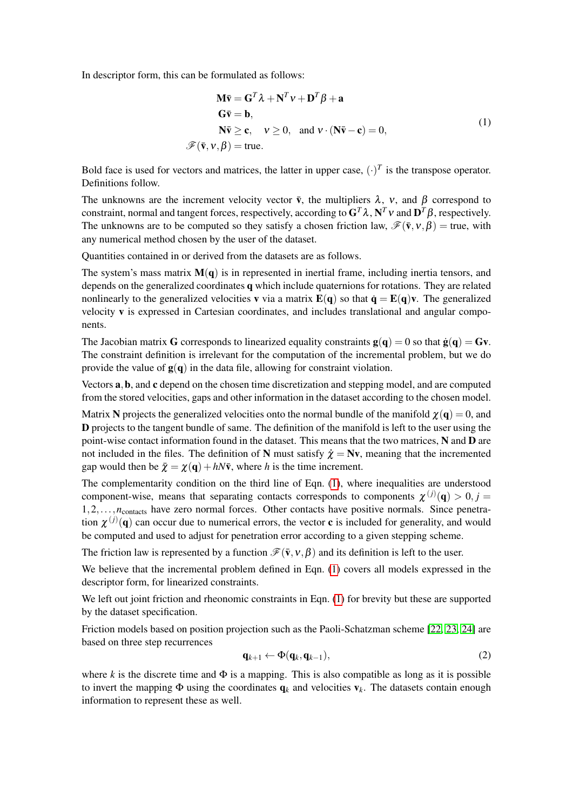<span id="page-2-0"></span>In descriptor form, this can be formulated as follows:

$$
\mathbf{M}\mathbf{\bar{v}} = \mathbf{G}^T \lambda + \mathbf{N}^T v + \mathbf{D}^T \beta + \mathbf{a}
$$
  
\n
$$
\mathbf{G}\mathbf{\bar{v}} = \mathbf{b},
$$
  
\n
$$
\mathbf{N}\mathbf{\bar{v}} \ge \mathbf{c}, \quad v \ge 0, \text{ and } v \cdot (\mathbf{N}\mathbf{\bar{v}} - \mathbf{c}) = 0,
$$
  
\n
$$
\mathcal{F}(\mathbf{\bar{v}}, v, \beta) = \text{true}.
$$
 (1)

Bold face is used for vectors and matrices, the latter in upper case,  $(\cdot)^T$  is the transpose operator. Definitions follow.

The unknowns are the increment velocity vector  $\bar{v}$ , the multipliers  $\lambda$ ,  $v$ , and  $\beta$  correspond to constraint, normal and tangent forces, respectively, according to  $G^T\lambda$ ,  $N^T v$  and  $D^T\beta$ , respectively. The unknowns are to be computed so they satisfy a chosen friction law,  $\mathscr{F}(\bar{v}, v, \beta) =$  true, with any numerical method chosen by the user of the dataset.

Quantities contained in or derived from the datasets are as follows.

The system's mass matrix  $M(q)$  is in represented in inertial frame, including inertia tensors, and depends on the generalized coordinates q which include quaternions for rotations. They are related nonlinearly to the generalized velocities **v** via a matrix  $E(q)$  so that  $\dot{q} = E(q)v$ . The generalized velocity v is expressed in Cartesian coordinates, and includes translational and angular components.

The Jacobian matrix **G** corresponds to linearized equality constraints  $g(q) = 0$  so that  $\dot{g}(q) = Gv$ . The constraint definition is irrelevant for the computation of the incremental problem, but we do provide the value of  $g(q)$  in the data file, allowing for constraint violation.

Vectors a,b, and c depend on the chosen time discretization and stepping model, and are computed from the stored velocities, gaps and other information in the dataset according to the chosen model.

Matrix N projects the generalized velocities onto the normal bundle of the manifold  $\chi(\mathbf{q}) = 0$ , and D projects to the tangent bundle of same. The definition of the manifold is left to the user using the point-wise contact information found in the dataset. This means that the two matrices, N and D are not included in the files. The definition of N must satisfy  $\dot{\chi} = Nv$ , meaning that the incremented gap would then be  $\bar{\chi} = \chi(\mathbf{q}) + hN\bar{\mathbf{v}}$ , where *h* is the time increment.

The complementarity condition on the third line of Eqn. [\(1\)](#page-2-0), where inequalities are understood component-wise, means that separating contacts corresponds to components  $\chi^{(j)}(\mathbf{q}) > 0, j =$ 1,2,...,*n*<sub>contacts</sub> have zero normal forces. Other contacts have positive normals. Since penetration  $\chi^{(j)}(\mathbf{q})$  can occur due to numerical errors, the vector **c** is included for generality, and would be computed and used to adjust for penetration error according to a given stepping scheme.

The friction law is represented by a function  $\mathcal{F}(\bar{v},v,\beta)$  and its definition is left to the user.

We believe that the incremental problem defined in Eqn. [\(1\)](#page-2-0) covers all models expressed in the descriptor form, for linearized constraints.

We left out joint friction and rheonomic constraints in Eqn. [\(1\)](#page-2-0) for brevity but these are supported by the dataset specification.

Friction models based on position projection such as the Paoli-Schatzman scheme [\[22,](#page-9-3) [23,](#page-9-4) [24\]](#page-9-5) are based on three step recurrences

$$
\mathbf{q}_{k+1} \leftarrow \Phi(\mathbf{q}_k, \mathbf{q}_{k-1}),\tag{2}
$$

where *k* is the discrete time and  $\Phi$  is a mapping. This is also compatible as long as it is possible to invert the mapping  $\Phi$  using the coordinates  $q_k$  and velocities  $v_k$ . The datasets contain enough information to represent these as well.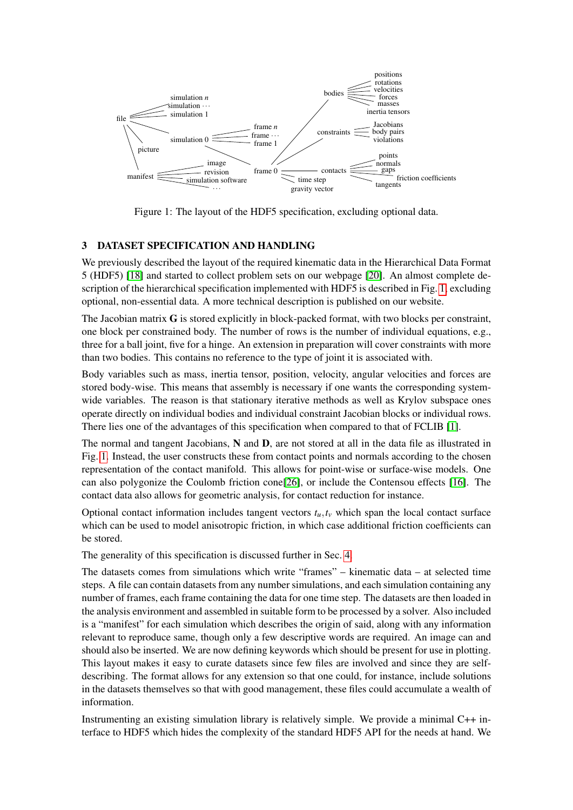<span id="page-3-1"></span>

Figure 1: The layout of the HDF5 specification, excluding optional data.

### <span id="page-3-0"></span>3 DATASET SPECIFICATION AND HANDLING

We previously described the layout of the required kinematic data in the Hierarchical Data Format 5 (HDF5) [\[18\]](#page-9-6) and started to collect problem sets on our webpage [\[20\]](#page-9-7). An almost complete description of the hierarchical specification implemented with HDF5 is described in Fig. [1,](#page-3-1) excluding optional, non-essential data. A more technical description is published on our website.

The Jacobian matrix G is stored explicitly in block-packed format, with two blocks per constraint, one block per constrained body. The number of rows is the number of individual equations, e.g., three for a ball joint, five for a hinge. An extension in preparation will cover constraints with more than two bodies. This contains no reference to the type of joint it is associated with.

Body variables such as mass, inertia tensor, position, velocity, angular velocities and forces are stored body-wise. This means that assembly is necessary if one wants the corresponding systemwide variables. The reason is that stationary iterative methods as well as Krylov subspace ones operate directly on individual bodies and individual constraint Jacobian blocks or individual rows. There lies one of the advantages of this specification when compared to that of FCLIB [\[1\]](#page-8-5).

The normal and tangent Jacobians, N and D, are not stored at all in the data file as illustrated in Fig. [1.](#page-3-1) Instead, the user constructs these from contact points and normals according to the chosen representation of the contact manifold. This allows for point-wise or surface-wise models. One can also polygonize the Coulomb friction cone[\[26\]](#page-9-8), or include the Contensou effects [\[16\]](#page-9-9). The contact data also allows for geometric analysis, for contact reduction for instance.

Optional contact information includes tangent vectors  $t<sub>u</sub>, t<sub>v</sub>$  which span the local contact surface which can be used to model anisotropic friction, in which case additional friction coefficients can be stored.

The generality of this specification is discussed further in Sec. [4.](#page-4-0)

The datasets comes from simulations which write "frames" – kinematic data – at selected time steps. A file can contain datasets from any number simulations, and each simulation containing any number of frames, each frame containing the data for one time step. The datasets are then loaded in the analysis environment and assembled in suitable form to be processed by a solver. Also included is a "manifest" for each simulation which describes the origin of said, along with any information relevant to reproduce same, though only a few descriptive words are required. An image can and should also be inserted. We are now defining keywords which should be present for use in plotting. This layout makes it easy to curate datasets since few files are involved and since they are selfdescribing. The format allows for any extension so that one could, for instance, include solutions in the datasets themselves so that with good management, these files could accumulate a wealth of information.

Instrumenting an existing simulation library is relatively simple. We provide a minimal C++ interface to HDF5 which hides the complexity of the standard HDF5 API for the needs at hand. We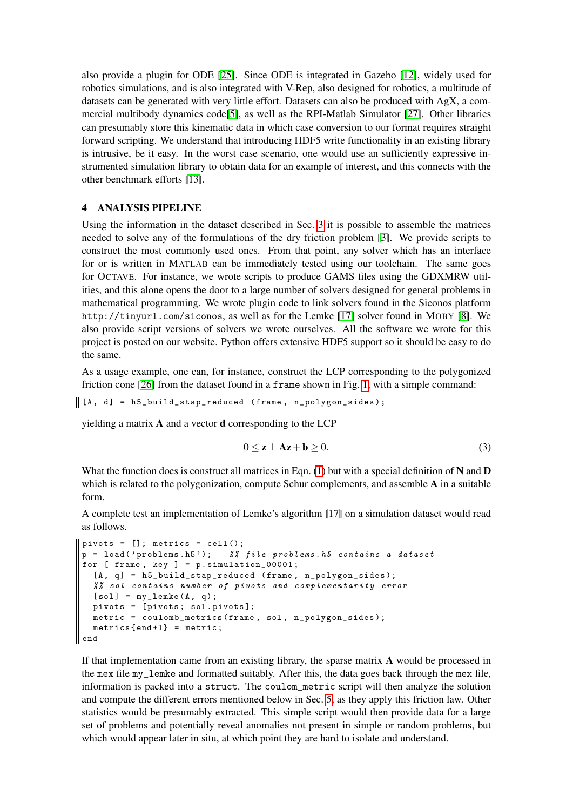also provide a plugin for ODE [\[25\]](#page-9-10). Since ODE is integrated in Gazebo [\[12\]](#page-8-6), widely used for robotics simulations, and is also integrated with V-Rep, also designed for robotics, a multitude of datasets can be generated with very little effort. Datasets can also be produced with AgX, a commercial multibody dynamics code[\[5\]](#page-8-7), as well as the RPI-Matlab Simulator [\[27\]](#page-9-11). Other libraries can presumably store this kinematic data in which case conversion to our format requires straight forward scripting. We understand that introducing HDF5 write functionality in an existing library is intrusive, be it easy. In the worst case scenario, one would use an sufficiently expressive instrumented simulation library to obtain data for an example of interest, and this connects with the other benchmark efforts [\[13\]](#page-9-1).

#### <span id="page-4-0"></span>4 ANALYSIS PIPELINE

Using the information in the dataset described in Sec. [3](#page-3-0) it is possible to assemble the matrices needed to solve any of the formulations of the dry friction problem [\[3\]](#page-8-8). We provide scripts to construct the most commonly used ones. From that point, any solver which has an interface for or is written in MATLAB can be immediately tested using our toolchain. The same goes for OCTAVE. For instance, we wrote scripts to produce GAMS files using the GDXMRW utilities, and this alone opens the door to a large number of solvers designed for general problems in mathematical programming. We wrote plugin code to link solvers found in the Siconos platform http://tinyurl.com/siconos, as well as for the Lemke [\[17\]](#page-9-12) solver found in MOBY [\[8\]](#page-8-9). We also provide script versions of solvers we wrote ourselves. All the software we wrote for this project is posted on our website. Python offers extensive HDF5 support so it should be easy to do the same.

As a usage example, one can, for instance, construct the LCP corresponding to the polygonized friction cone [\[26\]](#page-9-8) from the dataset found in a frame shown in Fig. [1,](#page-3-1) with a simple command:

 $\parallel$  [A, d] = h5\_build\_stap\_reduced (frame, n\_polygon\_sides);

yielding a matrix  $A$  and a vector  $d$  corresponding to the LCP

$$
0 \le z \perp Ax + b \ge 0. \tag{3}
$$

What the function does is construct all matrices in Eqn.  $(1)$  but with a special definition of N and D which is related to the polygonization, compute Schur complements, and assemble A in a suitable form.

A complete test an implementation of Lemke's algorithm [\[17\]](#page-9-12) on a simulation dataset would read as follows.

```
pivots = []; metrics = cell();
p = load ( ' problems . h5 ') ; % % file problems . h5 contains a dataset
for [ frame, key ] = p. simulation 00001;
  [A, q] = h5_build_stap_reduced (frame, n_polygon_sides);
  % % sol contains number of pivots and complementarity error
  [sol] = my_length(A, q);pivots = [ pivots ; sol . pivots ];
  metric = coulomb_metrics (frame, sol, n_polygon_sides);
  metrics {end + 1} = metric;
end
```
If that implementation came from an existing library, the sparse matrix A would be processed in the mex file my\_lemke and formatted suitably. After this, the data goes back through the mex file, information is packed into a struct. The coulom\_metric script will then analyze the solution and compute the different errors mentioned below in Sec. [5,](#page-5-0) as they apply this friction law. Other statistics would be presumably extracted. This simple script would then provide data for a large set of problems and potentially reveal anomalies not present in simple or random problems, but which would appear later in situ, at which point they are hard to isolate and understand.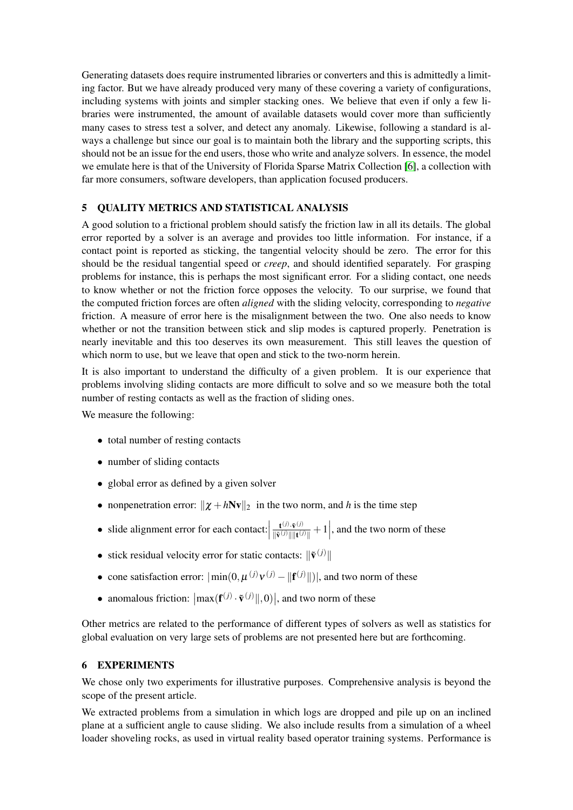Generating datasets does require instrumented libraries or converters and this is admittedly a limiting factor. But we have already produced very many of these covering a variety of configurations, including systems with joints and simpler stacking ones. We believe that even if only a few libraries were instrumented, the amount of available datasets would cover more than sufficiently many cases to stress test a solver, and detect any anomaly. Likewise, following a standard is always a challenge but since our goal is to maintain both the library and the supporting scripts, this should not be an issue for the end users, those who write and analyze solvers. In essence, the model we emulate here is that of the University of Florida Sparse Matrix Collection [\[6\]](#page-8-10), a collection with far more consumers, software developers, than application focused producers.

## <span id="page-5-0"></span>5 QUALITY METRICS AND STATISTICAL ANALYSIS

A good solution to a frictional problem should satisfy the friction law in all its details. The global error reported by a solver is an average and provides too little information. For instance, if a contact point is reported as sticking, the tangential velocity should be zero. The error for this should be the residual tangential speed or *creep*, and should identified separately. For grasping problems for instance, this is perhaps the most significant error. For a sliding contact, one needs to know whether or not the friction force opposes the velocity. To our surprise, we found that the computed friction forces are often *aligned* with the sliding velocity, corresponding to *negative* friction. A measure of error here is the misalignment between the two. One also needs to know whether or not the transition between stick and slip modes is captured properly. Penetration is nearly inevitable and this too deserves its own measurement. This still leaves the question of which norm to use, but we leave that open and stick to the two-norm herein.

It is also important to understand the difficulty of a given problem. It is our experience that problems involving sliding contacts are more difficult to solve and so we measure both the total number of resting contacts as well as the fraction of sliding ones.

We measure the following:

- total number of resting contacts
- number of sliding contacts
- global error as defined by a given solver
- nonpenetration error:  $\|\chi + hNv\|_2$  in the two norm, and *h* is the time step
- slide alignment error for each contact:  $\mathbf{t}^{(j)}\cdot\tilde{\mathbf{v}}^{(j)}$  $\frac{\mathbf{t}^{(j)} \cdot \tilde{\mathbf{v}}^{(j)}}{\|\tilde{\mathbf{v}}^{(j)}\| \|\mathbf{t}^{(j)}\|} + 1$ , and the two norm of these
- stick residual velocity error for static contacts:  $\|\tilde{\mathbf{v}}^{(j)}\|$
- cone satisfaction error:  $|\min(0, \mu^{(j)} \mathbf{v}^{(j)} ||\mathbf{f}^{(j)}||)|$ , and two norm of these
- anomalous friction:  $\left|\max(\mathbf{f}^{(j)} \cdot \tilde{\mathbf{v}}^{(j)} \|, 0)\right|$ , and two norm of these

Other metrics are related to the performance of different types of solvers as well as statistics for global evaluation on very large sets of problems are not presented here but are forthcoming.

#### <span id="page-5-1"></span>6 EXPERIMENTS

We chose only two experiments for illustrative purposes. Comprehensive analysis is beyond the scope of the present article.

We extracted problems from a simulation in which logs are dropped and pile up on an inclined plane at a sufficient angle to cause sliding. We also include results from a simulation of a wheel loader shoveling rocks, as used in virtual reality based operator training systems. Performance is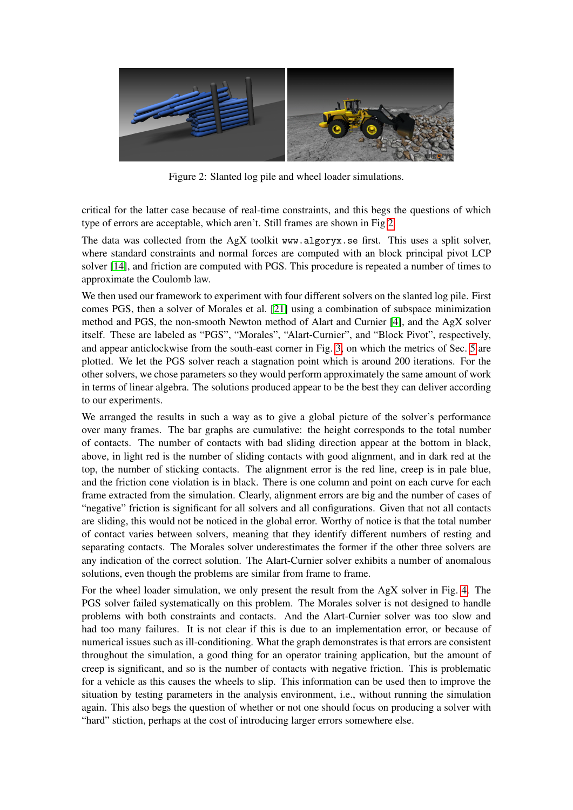<span id="page-6-0"></span>

Figure 2: Slanted log pile and wheel loader simulations.

critical for the latter case because of real-time constraints, and this begs the questions of which type of errors are acceptable, which aren't. Still frames are shown in Fig [2.](#page-6-0)

The data was collected from the AgX toolkit www.algoryx.se first. This uses a split solver, where standard constraints and normal forces are computed with an block principal pivot LCP solver [\[14\]](#page-9-13), and friction are computed with PGS. This procedure is repeated a number of times to approximate the Coulomb law.

We then used our framework to experiment with four different solvers on the slanted log pile. First comes PGS, then a solver of Morales et al. [\[21\]](#page-9-14) using a combination of subspace minimization method and PGS, the non-smooth Newton method of Alart and Curnier [\[4\]](#page-8-11), and the AgX solver itself. These are labeled as "PGS", "Morales", "Alart-Curnier", and "Block Pivot", respectively, and appear anticlockwise from the south-east corner in Fig. [3,](#page-7-2) on which the metrics of Sec. [5](#page-5-0) are plotted. We let the PGS solver reach a stagnation point which is around 200 iterations. For the other solvers, we chose parameters so they would perform approximately the same amount of work in terms of linear algebra. The solutions produced appear to be the best they can deliver according to our experiments.

We arranged the results in such a way as to give a global picture of the solver's performance over many frames. The bar graphs are cumulative: the height corresponds to the total number of contacts. The number of contacts with bad sliding direction appear at the bottom in black, above, in light red is the number of sliding contacts with good alignment, and in dark red at the top, the number of sticking contacts. The alignment error is the red line, creep is in pale blue, and the friction cone violation is in black. There is one column and point on each curve for each frame extracted from the simulation. Clearly, alignment errors are big and the number of cases of "negative" friction is significant for all solvers and all configurations. Given that not all contacts are sliding, this would not be noticed in the global error. Worthy of notice is that the total number of contact varies between solvers, meaning that they identify different numbers of resting and separating contacts. The Morales solver underestimates the former if the other three solvers are any indication of the correct solution. The Alart-Curnier solver exhibits a number of anomalous solutions, even though the problems are similar from frame to frame.

For the wheel loader simulation, we only present the result from the AgX solver in Fig. [4.](#page-7-3) The PGS solver failed systematically on this problem. The Morales solver is not designed to handle problems with both constraints and contacts. And the Alart-Curnier solver was too slow and had too many failures. It is not clear if this is due to an implementation error, or because of numerical issues such as ill-conditioning. What the graph demonstrates is that errors are consistent throughout the simulation, a good thing for an operator training application, but the amount of creep is significant, and so is the number of contacts with negative friction. This is problematic for a vehicle as this causes the wheels to slip. This information can be used then to improve the situation by testing parameters in the analysis environment, i.e., without running the simulation again. This also begs the question of whether or not one should focus on producing a solver with "hard" stiction, perhaps at the cost of introducing larger errors somewhere else.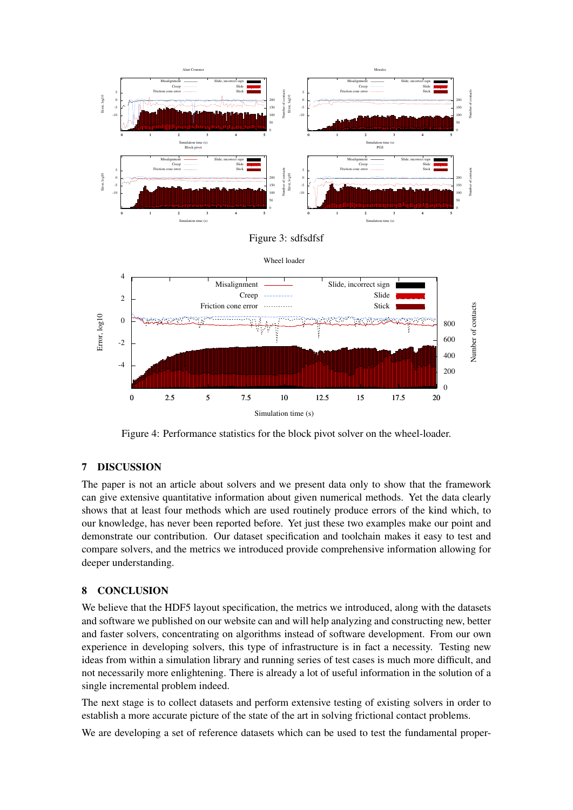<span id="page-7-2"></span>

<span id="page-7-3"></span>Figure 4: Performance statistics for the block pivot solver on the wheel-loader.

## <span id="page-7-0"></span>7 DISCUSSION

The paper is not an article about solvers and we present data only to show that the framework can give extensive quantitative information about given numerical methods. Yet the data clearly shows that at least four methods which are used routinely produce errors of the kind which, to our knowledge, has never been reported before. Yet just these two examples make our point and demonstrate our contribution. Our dataset specification and toolchain makes it easy to test and compare solvers, and the metrics we introduced provide comprehensive information allowing for deeper understanding.

## <span id="page-7-1"></span>8 CONCLUSION

We believe that the HDF5 layout specification, the metrics we introduced, along with the datasets and software we published on our website can and will help analyzing and constructing new, better and faster solvers, concentrating on algorithms instead of software development. From our own experience in developing solvers, this type of infrastructure is in fact a necessity. Testing new ideas from within a simulation library and running series of test cases is much more difficult, and not necessarily more enlightening. There is already a lot of useful information in the solution of a single incremental problem indeed.

The next stage is to collect datasets and perform extensive testing of existing solvers in order to establish a more accurate picture of the state of the art in solving frictional contact problems.

We are developing a set of reference datasets which can be used to test the fundamental proper-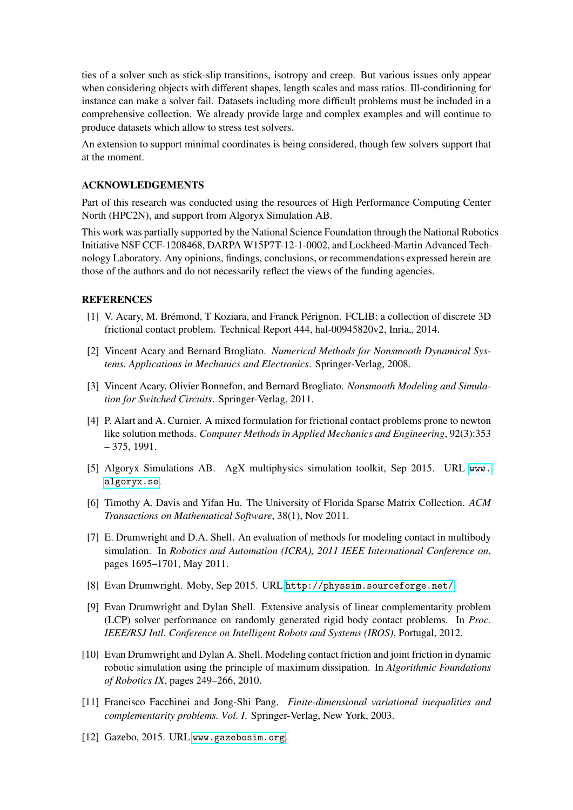ties of a solver such as stick-slip transitions, isotropy and creep. But various issues only appear when considering objects with different shapes, length scales and mass ratios. Ill-conditioning for instance can make a solver fail. Datasets including more difficult problems must be included in a comprehensive collection. We already provide large and complex examples and will continue to produce datasets which allow to stress test solvers.

An extension to support minimal coordinates is being considered, though few solvers support that at the moment.

#### ACKNOWLEDGEMENTS

Part of this research was conducted using the resources of High Performance Computing Center North (HPC2N), and support from Algoryx Simulation AB.

This work was partially supported by the National Science Foundation through the National Robotics Initiative NSF CCF-1208468, DARPA W15P7T-12-1-0002, and Lockheed-Martin Advanced Technology Laboratory. Any opinions, findings, conclusions, or recommendations expressed herein are those of the authors and do not necessarily reflect the views of the funding agencies.

#### REFERENCES

- <span id="page-8-5"></span>[1] V. Acary, M. Brémond, T Koziara, and Franck Pérignon. FCLIB: a collection of discrete 3D frictional contact problem. Technical Report 444, hal-00945820v2, Inria,, 2014.
- <span id="page-8-0"></span>[2] Vincent Acary and Bernard Brogliato. *Numerical Methods for Nonsmooth Dynamical Systems. Applications in Mechanics and Electronics*. Springer-Verlag, 2008.
- <span id="page-8-8"></span>[3] Vincent Acary, Olivier Bonnefon, and Bernard Brogliato. *Nonsmooth Modeling and Simulation for Switched Circuits*. Springer-Verlag, 2011.
- <span id="page-8-11"></span>[4] P. Alart and A. Curnier. A mixed formulation for frictional contact problems prone to newton like solution methods. *Computer Methods in Applied Mechanics and Engineering*, 92(3):353 – 375, 1991.
- <span id="page-8-7"></span>[5] Algoryx Simulations AB. AgX multiphysics simulation toolkit, Sep 2015. URL [www.](www.algoryx.se) [algoryx.se](www.algoryx.se).
- <span id="page-8-10"></span>[6] Timothy A. Davis and Yifan Hu. The University of Florida Sparse Matrix Collection. *ACM Transactions on Mathematical Software*, 38(1), Nov 2011.
- <span id="page-8-3"></span>[7] E. Drumwright and D.A. Shell. An evaluation of methods for modeling contact in multibody simulation. In *Robotics and Automation (ICRA), 2011 IEEE International Conference on*, pages 1695–1701, May 2011.
- <span id="page-8-9"></span>[8] Evan Drumwright. Moby, Sep 2015. URL <http://physsim.sourceforge.net/>.
- <span id="page-8-4"></span>[9] Evan Drumwright and Dylan Shell. Extensive analysis of linear complementarity problem (LCP) solver performance on randomly generated rigid body contact problems. In *Proc. IEEE/RSJ Intl. Conference on Intelligent Robots and Systems (IROS)*, Portugal, 2012.
- <span id="page-8-2"></span>[10] Evan Drumwright and Dylan A. Shell. Modeling contact friction and joint friction in dynamic robotic simulation using the principle of maximum dissipation. In *Algorithmic Foundations of Robotics IX*, pages 249–266, 2010.
- <span id="page-8-1"></span>[11] Francisco Facchinei and Jong-Shi Pang. *Finite-dimensional variational inequalities and complementarity problems. Vol. I*. Springer-Verlag, New York, 2003.
- <span id="page-8-6"></span>[12] Gazebo, 2015. URL <www.gazebosim.org>.